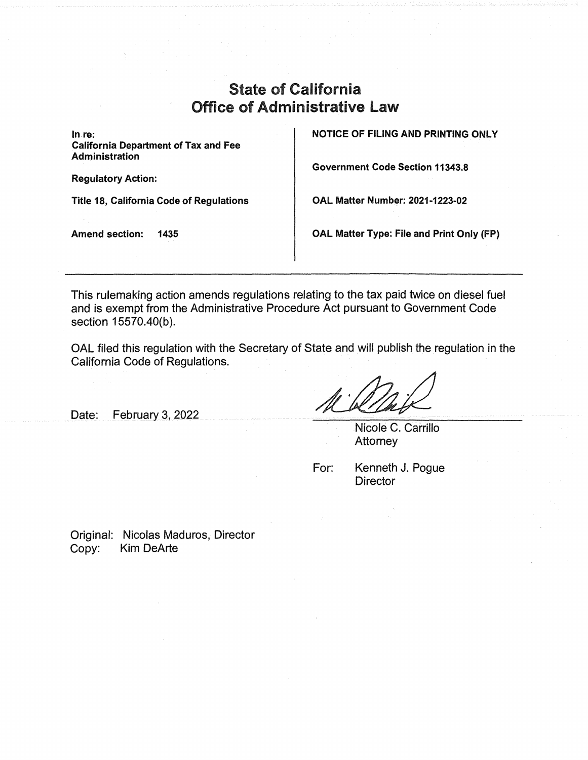## State of California Office of Administrative Law

**In.re: California Department of Tax and Fee Administration** 

**Regulatory Action:** 

**Title 18, California Code of Regulations** 

**Amend section: 1435** 

**NOTICE OF FILING AND PRINTING ONLY** 

**Government Code Section 11343.8** 

**OAL Matter Number: 2021-1223-02** 

**OAL Matter Type: File and Print Only (FP)** 

This rulemaking action amends regulations relating to the tax paid twice on diesel fuel and is exempt from the Administrative Procedure Act pursuant to Government Code section 15570.40(b).

OAL filed this regulation with the Secretary of State and will publish the regulation in the California Code of Regulations.

Date: February 3, 2022

Nicole C. Carrillo **Attorney** 

For: Kenneth J. Pogue **Director** 

Original: Nicolas Maduros, Director Copy: Kim DeArte